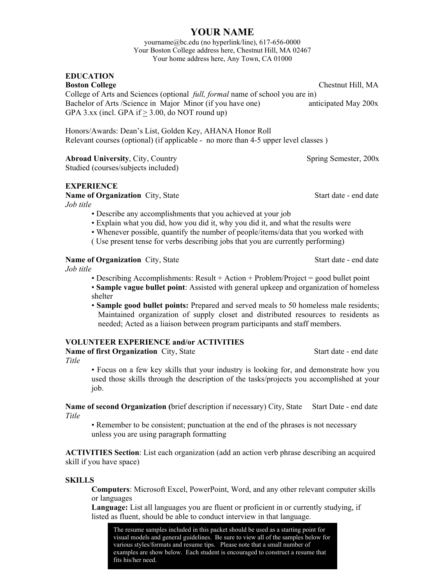## **YOUR NAME**

yourname@bc.edu (no hyperlink/line), 617-656-0000 Your Boston College address here, Chestnut Hill, MA 02467 Your home address here, Any Town, CA 01000

# **EDUCATION**

**Boston College** Chestnut Hill, MA College of Arts and Sciences (optional *full, formal* name of school you are in) Bachelor of Arts /Science in Major Minor (if you have one) anticipated May 200x GPA 3.xx (incl. GPA if  $\geq$  3.00, do NOT round up)

Honors/Awards: Dean's List, Golden Key, AHANA Honor Roll Relevant courses (optional) (if applicable - no more than 4-5 upper level classes )

**Abroad University, City, Country Spring Semester, 200x** 

Studied (courses/subjects included)

## **EXPERIENCE**

**Name of Organization** City, State **Start date - end date**  $\sim$  Start date - end date

*Job title*

- Describe any accomplishments that you achieved at your job
- Explain what you did, how you did it, why you did it, and what the results were
- Whenever possible, quantify the number of people/items/data that you worked with
- ( Use present tense for verbs describing jobs that you are currently performing)

## **Name of Organization** City, State **Start date - end date**

*Job title*

• Describing Accomplishments: Result + Action + Problem/Project = good bullet point • **Sample vague bullet point**: Assisted with general upkeep and organization of homeless shelter

• **Sample good bullet points:** Prepared and served meals to 50 homeless male residents; Maintained organization of supply closet and distributed resources to residents as needed; Acted as a liaison between program participants and staff members.

## **VOLUNTEER EXPERIENCE and/or ACTIVITIES**

**Name of first Organization** City, State **Start date - end date** - end date *Title* 

• Focus on a few key skills that your industry is looking for, and demonstrate how you used those skills through the description of the tasks/projects you accomplished at your job.

**Name of second Organization** (brief description if necessary) City, State Start Date - end date *Title*

• Remember to be consistent; punctuation at the end of the phrases is not necessary unless you are using paragraph formatting

**ACTIVITIES Section**: List each organization (add an action verb phrase describing an acquired skill if you have space)

### **SKILLS**

**Computers**: Microsoft Excel, PowerPoint, Word, and any other relevant computer skills or languages

**Language:** List all languages you are fluent or proficient in or currently studying, if listed as fluent, should be able to conduct interview in that language.

 The resume samples included in this packet should be used as a starting point for visual models and general guidelines. Be sure to view all of the samples below for various styles/formats and resume tips. Please note that a small number of examples are show below. Each student is encouraged to construct a resume that fits his/her need.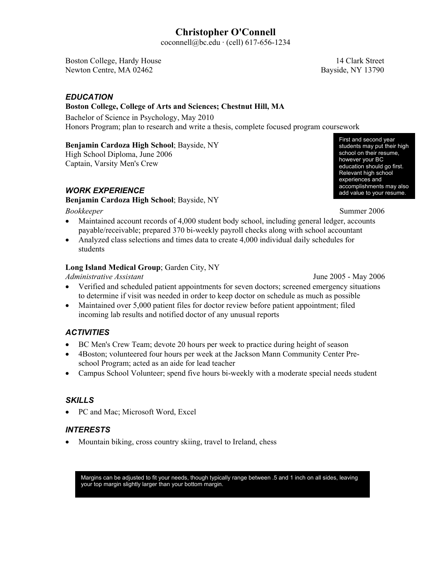# **Christopher O'Connell**

coconnell@bc.edu · (cell) 617-656-1234

Boston College, Hardy House 14 Clark Street Newton Centre, MA 02462 Bayside, NY 13790

## *EDUCATION*

## **Boston College, College of Arts and Sciences; Chestnut Hill, MA**

Bachelor of Science in Psychology, May 2010 Honors Program; plan to research and write a thesis, complete focused program coursework

## **Benjamin Cardoza High School**; Bayside, NY

High School Diploma, June 2006 Captain, Varsity Men's Crew

## *WORK EXPERIENCE*

### **Benjamin Cardoza High School**; Bayside, NY

- *Bookkeeper* Summer 2006 Maintained account records of 4,000 student body school, including general ledger, accounts payable/receivable; prepared 370 bi-weekly payroll checks along with school accountant
- Analyzed class selections and times data to create 4,000 individual daily schedules for students

## **Long Island Medical Group**; Garden City, NY

*Administrative Assistant* June 2005 - May 2006

- Verified and scheduled patient appointments for seven doctors; screened emergency situations to determine if visit was needed in order to keep doctor on schedule as much as possible
	- Maintained over 5,000 patient files for doctor review before patient appointment; filed incoming lab results and notified doctor of any unusual reports

## *ACTIVITIES*

- BC Men's Crew Team; devote 20 hours per week to practice during height of season
- x 4Boston; volunteered four hours per week at the Jackson Mann Community Center Preschool Program; acted as an aide for lead teacher
- Campus School Volunteer; spend five hours bi-weekly with a moderate special needs student

## *SKILLS*

• PC and Mac; Microsoft Word, Excel

## *INTERESTS*

• Mountain biking, cross country skiing, travel to Ireland, chess

Margins can be adjusted to fit your needs, though typically range between .5 and 1 inch on all sides, leaving your top margin slightly larger than your bottom margin.

First and second year students may put their high school on their resume, however your BC education should go first. Relevant high school experiences and accomplishments may also add value to your resume.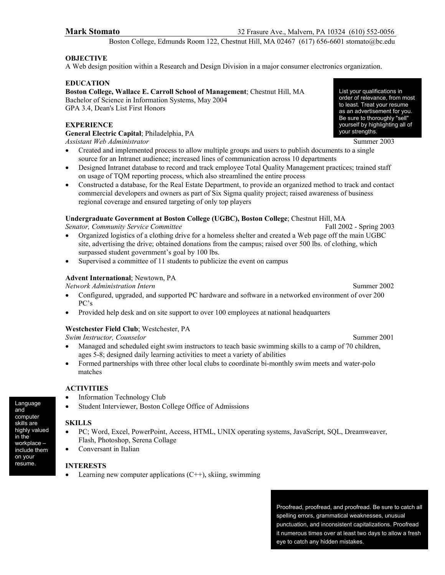Boston College, Edmunds Room 122, Chestnut Hill, MA 02467 (617) 656-6601 stomato@bc.edu

### **OBJECTIVE**

A Web design position within a Research and Design Division in a major consumer electronics organization.

#### **EDUCATION**

**Boston College, Wallace E. Carroll School of Management**; Chestnut Hill, MA Bachelor of Science in Information Systems, May 2004 GPA 3.4, Dean's List First Honors

#### **EXPERIENCE**

**General Electric Capital**; Philadelphia, PA *Assistant Web Administrator* Summer 2003

- Created and implemented process to allow multiple groups and users to publish documents to a single source for an Intranet audience; increased lines of communication across 10 departments
- Designed Intranet database to record and track employee Total Quality Management practices; trained staff on usage of TQM reporting process, which also streamlined the entire process
- Constructed a database, for the Real Estate Department, to provide an organized method to track and contact commercial developers and owners as part of Six Sigma quality project; raised awareness of business regional coverage and ensured targeting of only top players

#### **Undergraduate Government at Boston College (UGBC), Boston College**; Chestnut Hill, MA

*Senator, Community Service Committee* Fall 2002 - Spring 2003

- x Organized logistics of a clothing drive for a homeless shelter and created a Web page off the main UGBC site, advertising the drive; obtained donations from the campus; raised over 500 lbs. of clothing, which surpassed student government's goal by 100 lbs.
- Supervised a committee of 11 students to publicize the event on campus

#### **Advent International**; Newtown, PA

*Network Administration Intern* Summer 2002

- Configured, upgraded, and supported PC hardware and software in a networked environment of over 200 PC's
- Provided help desk and on site support to over 100 employees at national headquarters

#### **Westchester Field Club**; Westchester, PA

*Swim Instructor, Counselor* Summer 2001

- Managed and scheduled eight swim instructors to teach basic swimming skills to a camp of 70 children, ages 5-8; designed daily learning activities to meet a variety of abilities
- Formed partnerships with three other local clubs to coordinate bi-monthly swim meets and water-polo matches

#### **ACTIVITIES**

- Information Technology Club
- Student Interviewer, Boston College Office of Admissions

#### **SKILLS**

- PC; Word, Excel, PowerPoint, Access, HTML, UNIX operating systems, JavaScript, SQL, Dreamweaver, Flash, Photoshop, Serena Collage
- Conversant in Italian

#### **INTERESTS**

Learning new computer applications  $(C^{++})$ , skiing, swimming

Proofread, proofread, and proofread. Be sure to catch all spelling errors, grammatical weaknesses, unusual punctuation, and inconsistent capitalizations. Proofread it numerous times over at least two days to allow a fresh eye to catch any hidden mistakes.

List your qualifications in order of relevance, from most to least. Treat your resume as an advertisement for you. Be sure to thoroughly "sell" yourself by highlighting all of your strengths.

Language and computer skills are highly valued in the workplace – include them on your resume.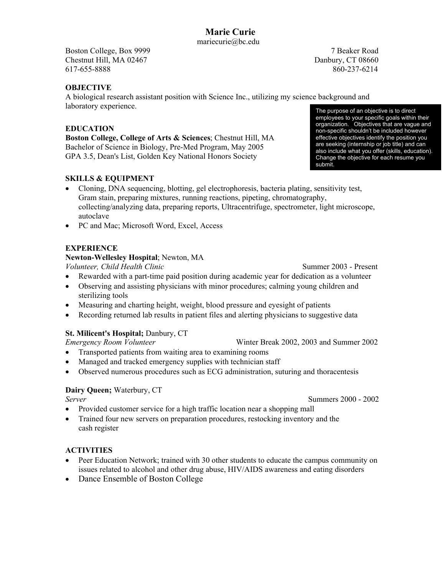Boston College, Box 9999 7 Beaker Road Chestnut Hill, MA 02467 Danbury, CT 08660 617-655-8888 860-237-6214

## **OBJECTIVE**

A biological research assistant position with Science Inc., utilizing my science background and laboratory experience. The purpose of an objective is to direct

## **EDUCATION**

**Boston College, College of Arts & Sciences**; Chestnut Hill, MA Bachelor of Science in Biology, Pre-Med Program, May 2005 GPA 3.5, Dean's List, Golden Key National Honors Society

## **SKILLS & EQUIPMENT**

- Cloning, DNA sequencing, blotting, gel electrophoresis, bacteria plating, sensitivity test, Gram stain, preparing mixtures, running reactions, pipeting, chromatography, collecting/analyzing data, preparing reports, Ultracentrifuge, spectrometer, light microscope, autoclave
- PC and Mac; Microsoft Word, Excel, Access

## **EXPERIENCE**

### **Newton-Wellesley Hospital**; Newton, MA

*Volunteer, Child Health Clinic* Summer 2003 - Present

- Rewarded with a part-time paid position during academic year for dedication as a volunteer
- Observing and assisting physicians with minor procedures; calming young children and sterilizing tools
- Measuring and charting height, weight, blood pressure and eyesight of patients
- Recording returned lab results in patient files and alerting physicians to suggestive data

## **St. Milicent's Hospital;** Danbury, CT

*Emergency Room Volunteer* Winter Break 2002, 2003 and Summer 2002

- Transported patients from waiting area to examining rooms
- Managed and tracked emergency supplies with technician staff
- Observed numerous procedures such as ECG administration, suturing and thoracentesis

## **Dairy Queen;** Waterbury, CT

- Provided customer service for a high traffic location near a shopping mall
- Trained four new servers on preparation procedures, restocking inventory and the cash register

### **ACTIVITIES**

- Peer Education Network: trained with 30 other students to educate the campus community on issues related to alcohol and other drug abuse, HIV/AIDS awareness and eating disorders
- Dance Ensemble of Boston College

employees to your specific goals within their organization. Objectives that are vague and non-specific shouldn't be included however effective objectives identify the position you are seeking (internship or job title) and can also include what you offer (skills, education). Change the objective for each resume you submit.

*Server* Summers 2000 - 2002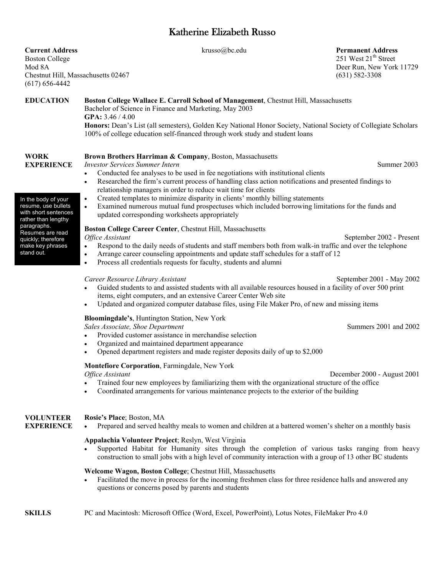# Katherine Elizabeth Russo

| <b>Current Address</b><br><b>Boston College</b><br>Mod 8A<br>Chestnut Hill, Massachusetts 02467<br>$(617) 656 - 4442$         | krusso@bc.edu                                                                                                                                                                                                                                                                                                                                                                                                                                                                                                                                                                                                                                                   | <b>Permanent Address</b><br>251 West 21 <sup>th</sup> Street<br>Deer Run, New York 11729<br>$(631) 582 - 3308$ |  |
|-------------------------------------------------------------------------------------------------------------------------------|-----------------------------------------------------------------------------------------------------------------------------------------------------------------------------------------------------------------------------------------------------------------------------------------------------------------------------------------------------------------------------------------------------------------------------------------------------------------------------------------------------------------------------------------------------------------------------------------------------------------------------------------------------------------|----------------------------------------------------------------------------------------------------------------|--|
| <b>EDUCATION</b>                                                                                                              | Boston College Wallace E. Carroll School of Management, Chestnut Hill, Massachusetts<br>Bachelor of Science in Finance and Marketing, May 2003<br>GPA: $3.46 / 4.00$<br>Honors: Dean's List (all semesters), Golden Key National Honor Society, National Society of Collegiate Scholars<br>100% of college education self-financed through work study and student loans                                                                                                                                                                                                                                                                                         |                                                                                                                |  |
| <b>WORK</b><br><b>EXPERIENCE</b><br>In the body of your<br>resume, use bullets<br>with short sentences<br>rather than lengthy | Brown Brothers Harriman & Company, Boston, Massachusetts<br><b>Investor Services Summer Intern</b><br>Conducted fee analyses to be used in fee negotiations with institutional clients<br>$\bullet$<br>Researched the firm's current process of handling class action notifications and presented findings to<br>$\bullet$<br>relationship managers in order to reduce wait time for clients<br>Created templates to minimize disparity in clients' monthly billing statements<br>$\bullet$<br>Examined numerous mutual fund prospectuses which included borrowing limitations for the funds and<br>$\bullet$<br>updated corresponding worksheets appropriately | Summer 2003                                                                                                    |  |
| paragraphs.<br>Resumes are read<br>quickly; therefore<br>make key phrases<br>stand out.                                       | Boston College Career Center, Chestnut Hill, Massachusetts<br>Office Assistant<br>Respond to the daily needs of students and staff members both from walk-in traffic and over the telephone<br>$\bullet$<br>Arrange career counseling appointments and update staff schedules for a staff of 12<br>$\bullet$<br>Process all credentials requests for faculty, students and alumni<br>$\bullet$                                                                                                                                                                                                                                                                  | September 2002 - Present                                                                                       |  |
|                                                                                                                               | Career Resource Library Assistant<br>Guided students to and assisted students with all available resources housed in a facility of over 500 print<br>items, eight computers, and an extensive Career Center Web site<br>Updated and organized computer database files, using File Maker Pro, of new and missing items                                                                                                                                                                                                                                                                                                                                           | September 2001 - May 2002                                                                                      |  |
|                                                                                                                               | Bloomingdale's, Huntington Station, New York<br>Sales Associate, Shoe Department<br>Provided customer assistance in merchandise selection<br>Organized and maintained department appearance<br>$\bullet$<br>Opened department registers and made register deposits daily of up to \$2,000                                                                                                                                                                                                                                                                                                                                                                       | Summers 2001 and 2002                                                                                          |  |
|                                                                                                                               | Montefiore Corporation, Farmingdale, New York<br>Office Assistant<br>Trained four new employees by familiarizing them with the organizational structure of the office<br>Coordinated arrangements for various maintenance projects to the exterior of the building                                                                                                                                                                                                                                                                                                                                                                                              | December 2000 - August 2001                                                                                    |  |
| <b>VOLUNTEER</b><br><b>EXPERIENCE</b>                                                                                         | Rosie's Place; Boston, MA<br>Prepared and served healthy meals to women and children at a battered women's shelter on a monthly basis<br>Appalachia Volunteer Project; Reslyn, West Virginia<br>Supported Habitat for Humanity sites through the completion of various tasks ranging from heavy<br>construction to small jobs with a high level of community interaction with a group of 13 other BC students<br>Welcome Wagon, Boston College; Chestnut Hill, Massachusetts<br>Facilitated the move in process for the incoming freshmen class for three residence halls and answered any<br>$\bullet$<br>questions or concerns posed by parents and students  |                                                                                                                |  |
| <b>SKILLS</b>                                                                                                                 | PC and Macintosh: Microsoft Office (Word, Excel, PowerPoint), Lotus Notes, FileMaker Pro 4.0                                                                                                                                                                                                                                                                                                                                                                                                                                                                                                                                                                    |                                                                                                                |  |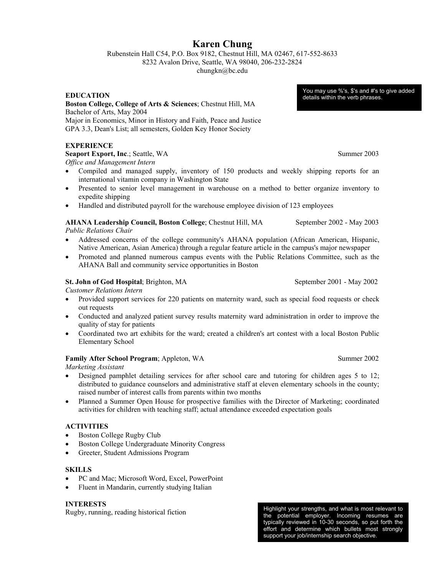## **Karen Chung**

Rubenstein Hall C54, P.O. Box 9182, Chestnut Hill, MA 02467, 617-552-8633 8232 Avalon Drive, Seattle, WA 98040, 206-232-2824

chungkn@bc.edu

**EDUCATION** 

#### **Boston College, College of Arts & Sciences**; Chestnut Hill, MA Bachelor of Arts, May 2004 Major in Economics, Minor in History and Faith, Peace and Justice GPA 3.3, Dean's List; all semesters, Golden Key Honor Society

### **EXPERIENCE**

**Seaport Export, Inc.; Seattle, WA Summer 2003** *Office and Management Intern*

- Compiled and managed supply, inventory of 150 products and weekly shipping reports for an international vitamin company in Washington State
- Presented to senior level management in warehouse on a method to better organize inventory to expedite shipping
- Handled and distributed payroll for the warehouse employee division of 123 employees

#### **AHANA Leadership Council, Boston College**; Chestnut Hill, MA September 2002 - May 2003

*Public Relations Chair*

- Addressed concerns of the college community's AHANA population (African American, Hispanic, Native American, Asian America) through a regular feature article in the campus's major newspaper
- Promoted and planned numerous campus events with the Public Relations Committee, such as the AHANA Ball and community service opportunities in Boston

#### **St. John of God Hospital**; Brighton, MA September 2001 - May 2002

*Customer Relations Intern*

- Provided support services for 220 patients on maternity ward, such as special food requests or check out requests
- Conducted and analyzed patient survey results maternity ward administration in order to improve the quality of stay for patients
- Coordinated two art exhibits for the ward; created a children's art contest with a local Boston Public Elementary School

#### **Family After School Program**; Appleton, WA Summer 2002

*Marketing Assistant*

- Designed pamphlet detailing services for after school care and tutoring for children ages 5 to 12; distributed to guidance counselors and administrative staff at eleven elementary schools in the county; raised number of interest calls from parents within two months
- Planned a Summer Open House for prospective families with the Director of Marketing; coordinated activities for children with teaching staff; actual attendance exceeded expectation goals

#### **ACTIVITIES**

- Boston College Rugby Club
- Boston College Undergraduate Minority Congress
- Greeter, Student Admissions Program

#### **SKILLS**

- PC and Mac; Microsoft Word, Excel, PowerPoint
- $\bullet$  Fluent in Mandarin, currently studying Italian

## **INTERESTS**

Rugby, running, reading historical fiction

Highlight your strengths, and what is most relevant to the potential employer. Incoming resumes are typically reviewed in 10-30 seconds, so put forth the effort and determine which bullets most strongly support your job/internship search objective.

You may use %'s, \$'s and #'s to give added details within the verb phrases.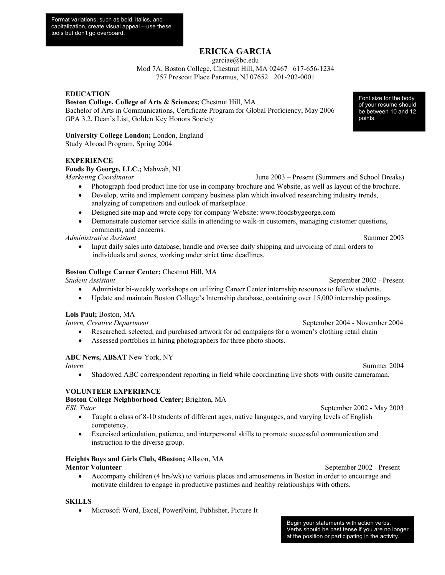## **ERICKA GARCIA**

garciae@bc.edu

Mod 7A, Boston College, Chestnut Hill, MA 02467 617-656-1234 757 Prescott Place Paramus, NJ 07652 201-202-0001

**EDUCATION** 

#### **Boston College, College of Arts & Sciences;** Chestnut Hill, MA

Bachelor of Arts in Communications, Certificate Program for Global Proficiency, May 2006 GPA 3.2, Dean's List, Golden Key Honors Society

#### **University College London;** London, England

Study Abroad Program, Spring 2004

#### **EXPERIENCE**

#### **Foods By George, LLC.;** Mahwah, NJ

*Marketing Coordinator* June 2003 – Present (Summers and School Breaks)

- Photograph food product line for use in company brochure and Website, as well as layout of the brochure.
- Develop, write and implement company business plan which involved researching industry trends, analyzing of competitors and outlook of marketplace.
- Designed site map and wrote copy for company Website: www.foodsbygeorge.com
- Demonstrate customer service skills in attending to walk-in customers, managing customer questions, comments, and concerns.

*Administrative Assistant* Summer 2003

• Input daily sales into database; handle and oversee daily shipping and invoicing of mail orders to individuals and stores, working under strict time deadlines.

#### **Boston College Career Center;** Chestnut Hill, MA

*Student Assistant* September 2002 - Present

- Administer bi-weekly workshops on utilizing Career Center internship resources to fellow students.
- Update and maintain Boston College's Internship database, containing over 15,000 internship postings.

#### **Lois Paul;** Boston, MA

*Intern, Creative Department* September 2004 - November 2004

- Researched, selected, and purchased artwork for ad campaigns for a women's clothing retail chain
- Assessed portfolios in hiring photographers for three photo shoots.

#### **ABC News, ABSAT** New York, NY

Shadowed ABC correspondent reporting in field while coordinating live shots with onsite cameraman.

#### **VOLUNTEER EXPERIENCE**

#### **Boston College Neighborhood Center;** Brighton, MA

*ESL Tutor* September 2002 - May 2003

- Taught a class of 8-10 students of different ages, native languages, and varying levels of English competency.
- x Exercised articulation, patience, and interpersonal skills to promote successful communication and instruction to the diverse group.

#### **Heights Boys and Girls Club, 4Boston;** Allston, MA

#### **Mentor Volunteer** September 2002 - Present

• Accompany children (4 hrs/wk) to various places and amusements in Boston in order to encourage and motivate children to engage in productive pastimes and healthy relationships with others.

#### **SKILLS**

• Microsoft Word, Excel, PowerPoint, Publisher, Picture It

Begin your statements with action verbs. Verbs should be past tense if you are no longer at the position or participating in the activity.

Font size for the body of your resume should be between 10 and 12 points.

*Intern* Summer 2004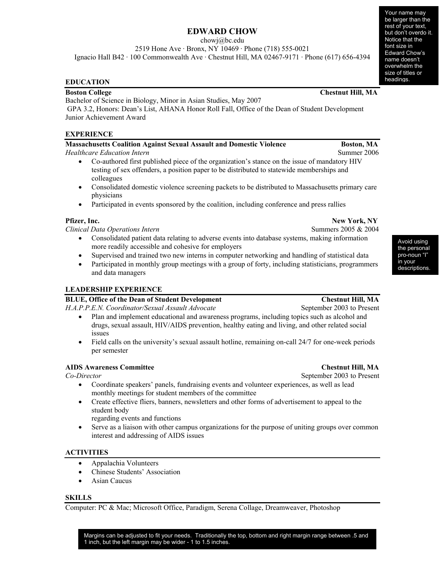## **EDWARD CHOW**

chowj@bc.edu

2519 Hone Ave · Bronx, NY 10469 · Phone (718) 555-0021

Ignacio Hall B42 · 100 Commonwealth Ave · Chestnut Hill, MA 02467-9171 · Phone (617) 656-4394

#### **EDUCATION**

Bachelor of Science in Biology, Minor in Asian Studies, May 2007

 GPA 3.2, Honors: Dean's List, AHANA Honor Roll Fall, Office of the Dean of Student Development Junior Achievement Award

#### **EXPERIENCE**

## **Massachusetts Coalition Against Sexual Assault and Domestic Violence Boston, MA Boston, MA** *Healthcare Education Intern* Summer 2006

- x Co-authored first published piece of the organization's stance on the issue of mandatory HIV testing of sex offenders, a position paper to be distributed to statewide memberships and colleagues
- Consolidated domestic violence screening packets to be distributed to Massachusetts primary care physicians
- Participated in events sponsored by the coalition, including conference and press rallies

*Clinical Data Operations Intern* **Summers 2005 & 2004** Summers 2005 & 2004

- Consolidated patient data relating to adverse events into database systems, making information more readily accessible and cohesive for employers
- Supervised and trained two new interns in computer networking and handling of statistical data
- Participated in monthly group meetings with a group of forty, including statisticians, programmers and data managers

## **LEADERSHIP EXPERIENCE**

## **BLUE, Office of the Dean of Student Development Chestnut Hill, MA**

*H.A.P.P.E.N. Coordinator/Sexual Assault Advocate* September 2003 to Present

- Plan and implement educational and awareness programs, including topics such as alcohol and drugs, sexual assault, HIV/AIDS prevention, healthy eating and living, and other related social issues
- $\bullet$  Field calls on the university's sexual assault hotline, remaining on-call 24/7 for one-week periods per semester

### **AIDS Awareness Committee Chestnut Hill, MA**

- Coordinate speakers' panels, fundraising events and volunteer experiences, as well as lead monthly meetings for student members of the committee
- Create effective fliers, banners, newsletters and other forms of advertisement to appeal to the student body

regarding events and functions

Serve as a liaison with other campus organizations for the purpose of uniting groups over common interest and addressing of AIDS issues

#### **ACTIVITIES**

- Appalachia Volunteers
- Chinese Students' Association
- $\bullet$  Asian Caucus

#### **SKILLS**

Computer: PC & Mac; Microsoft Office, Paradigm, Serena Collage, Dreamweaver, Photoshop

Margins can be adjusted to fit your needs. Traditionally the top, bottom and right margin range between .5 and 1 inch, but the left margin may be wider - 1 to 1.5 inches.

#### **Boston College Chestnut Hill, MA**

**Pfizer, Inc.** New York, NY

the personal pro-noun "I" in your descriptions.

*Co-Director* September 2003 to Present

Avoid using

Your name may be larger than the rest of your text, but don't overdo it. Notice that the font size in Edward Chow's name doesn't overwhelm the size of titles or headings.